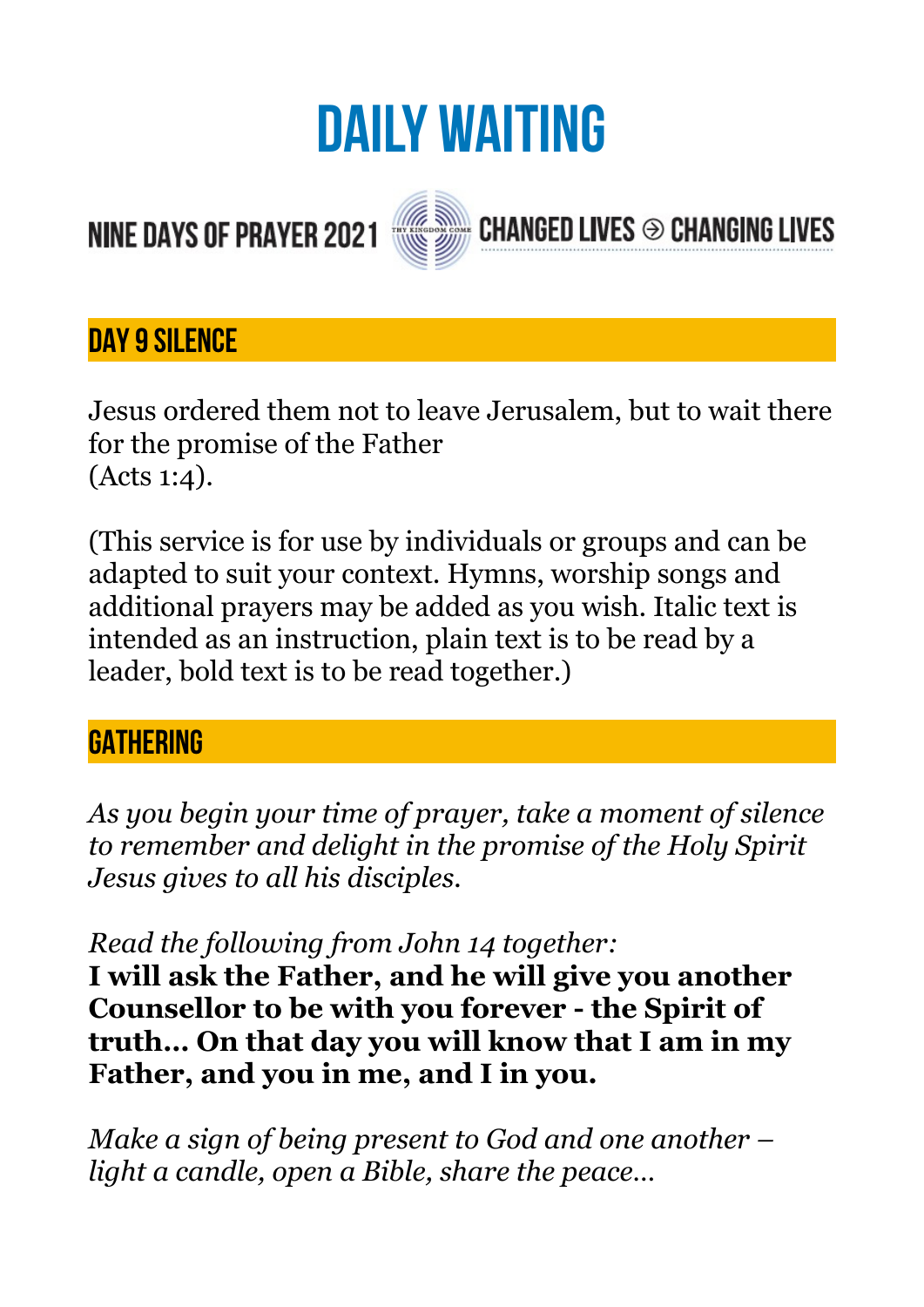# **DAILY WAITING**

**CHANGED LIVES <sup>⊙</sup> CHANGING LIVES** 

# **NINE DAYS OF PRAYER 2021**



#### **DAY 9 SILENCE**

Jesus ordered them not to leave Jerusalem, but to wait there for the promise of the Father (Acts 1:4).

(This service is for use by individuals or groups and can be adapted to suit your context. Hymns, worship songs and additional prayers may be added as you wish. Italic text is intended as an instruction, plain text is to be read by a leader, bold text is to be read together.)

#### **GATHERING**

*As you begin your time of prayer, take a moment of silence to remember and delight in the promise of the Holy Spirit Jesus gives to all his disciples.* 

*Read the following from John 14 together:* 

**I will ask the Father, and he will give you another Counsellor to be with you forever - the Spirit of truth… On that day you will know that I am in my Father, and you in me, and I in you.** 

*Make a sign of being present to God and one another – light a candle, open a Bible, share the peace…*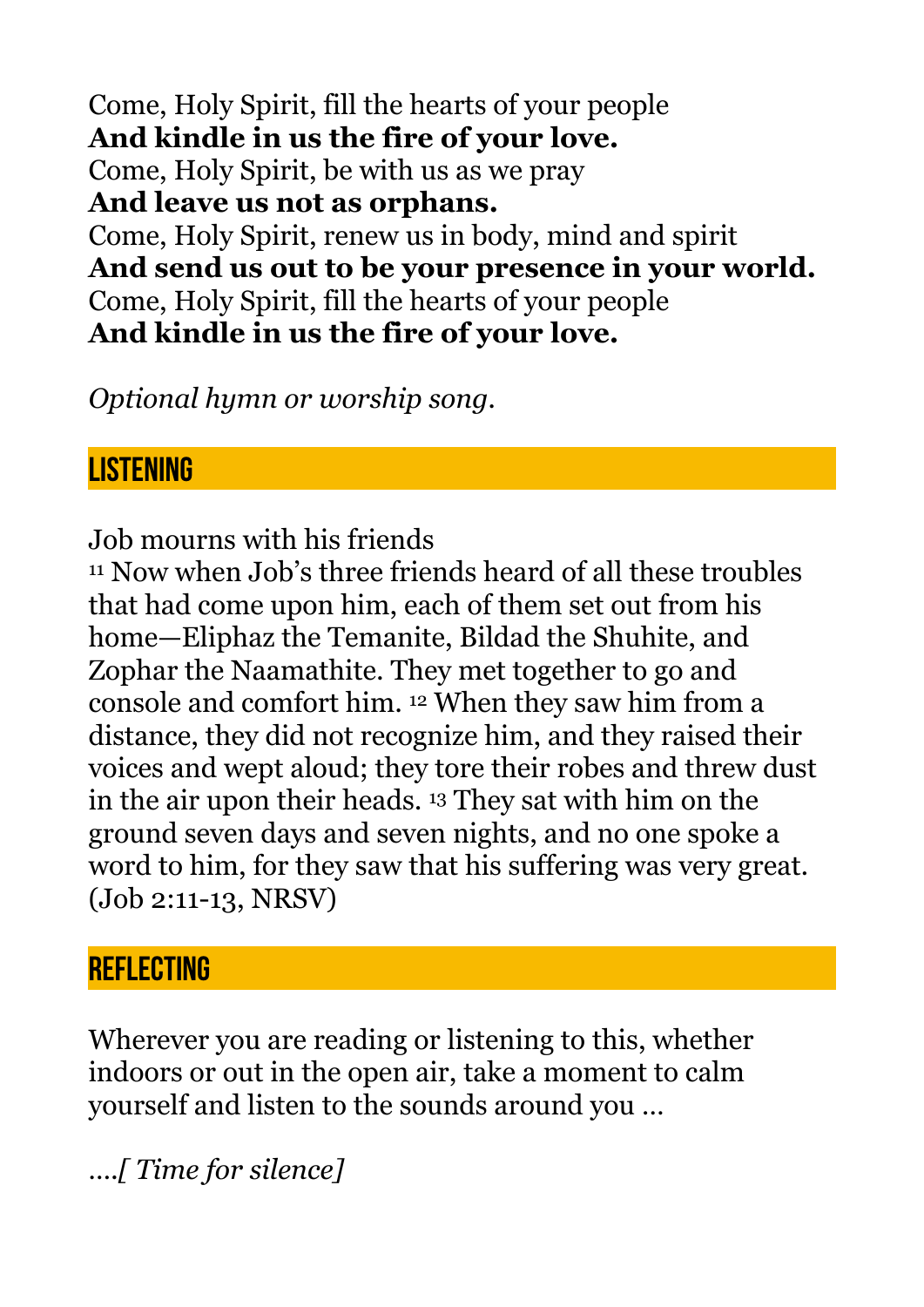Come, Holy Spirit, fill the hearts of your people **And kindle in us the fire of your love.**  Come, Holy Spirit, be with us as we pray **And leave us not as orphans.**  Come, Holy Spirit, renew us in body, mind and spirit **And send us out to be your presence in your world.**  Come, Holy Spirit, fill the hearts of your people **And kindle in us the fire of your love.** 

*Optional hymn or worship song.* 

#### **LISTENING**

Job mourns with his friends

11 Now when Job's three friends heard of all these troubles that had come upon him, each of them set out from his home—Eliphaz the Temanite, Bildad the Shuhite, and Zophar the Naamathite. They met together to go and console and comfort him. 12 When they saw him from a distance, they did not recognize him, and they raised their voices and wept aloud; they tore their robes and threw dust in the air upon their heads. 13 They sat with him on the ground seven days and seven nights, and no one spoke a word to him, for they saw that his suffering was very great. (Job 2:11-13, NRSV)

#### **REFLECTING**

Wherever you are reading or listening to this, whether indoors or out in the open air, take a moment to calm yourself and listen to the sounds around you …

*….[ Time for silence]*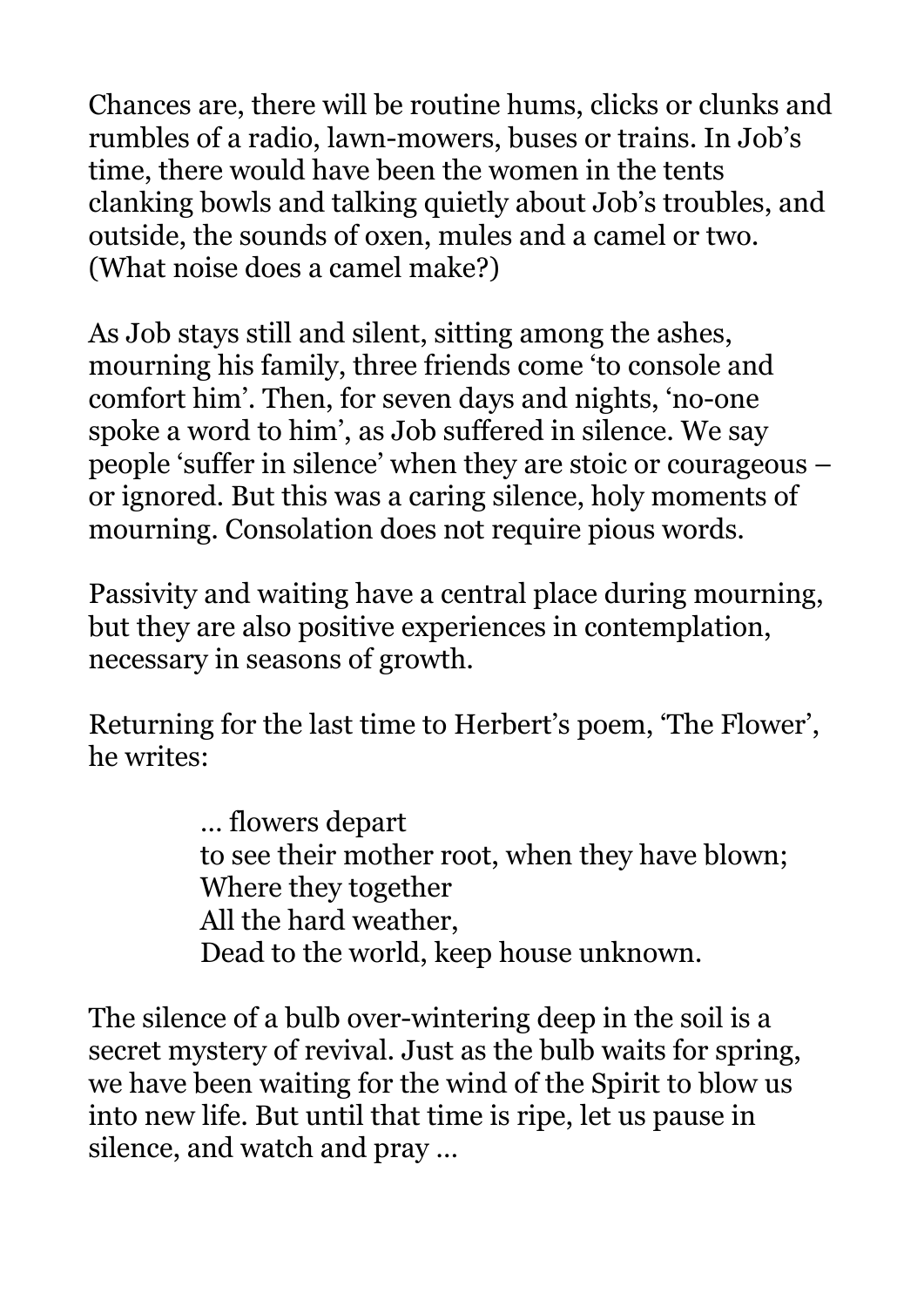Chances are, there will be routine hums, clicks or clunks and rumbles of a radio, lawn-mowers, buses or trains. In Job's time, there would have been the women in the tents clanking bowls and talking quietly about Job's troubles, and outside, the sounds of oxen, mules and a camel or two. (What noise does a camel make?)

As Job stays still and silent, sitting among the ashes, mourning his family, three friends come 'to console and comfort him'. Then, for seven days and nights, 'no-one spoke a word to him', as Job suffered in silence. We say people 'suffer in silence' when they are stoic or courageous – or ignored. But this was a caring silence, holy moments of mourning. Consolation does not require pious words.

Passivity and waiting have a central place during mourning, but they are also positive experiences in contemplation, necessary in seasons of growth.

Returning for the last time to Herbert's poem, 'The Flower', he writes:

> … flowers depart to see their mother root, when they have blown; Where they together All the hard weather, Dead to the world, keep house unknown.

The silence of a bulb over-wintering deep in the soil is a secret mystery of revival. Just as the bulb waits for spring, we have been waiting for the wind of the Spirit to blow us into new life. But until that time is ripe, let us pause in silence, and watch and pray …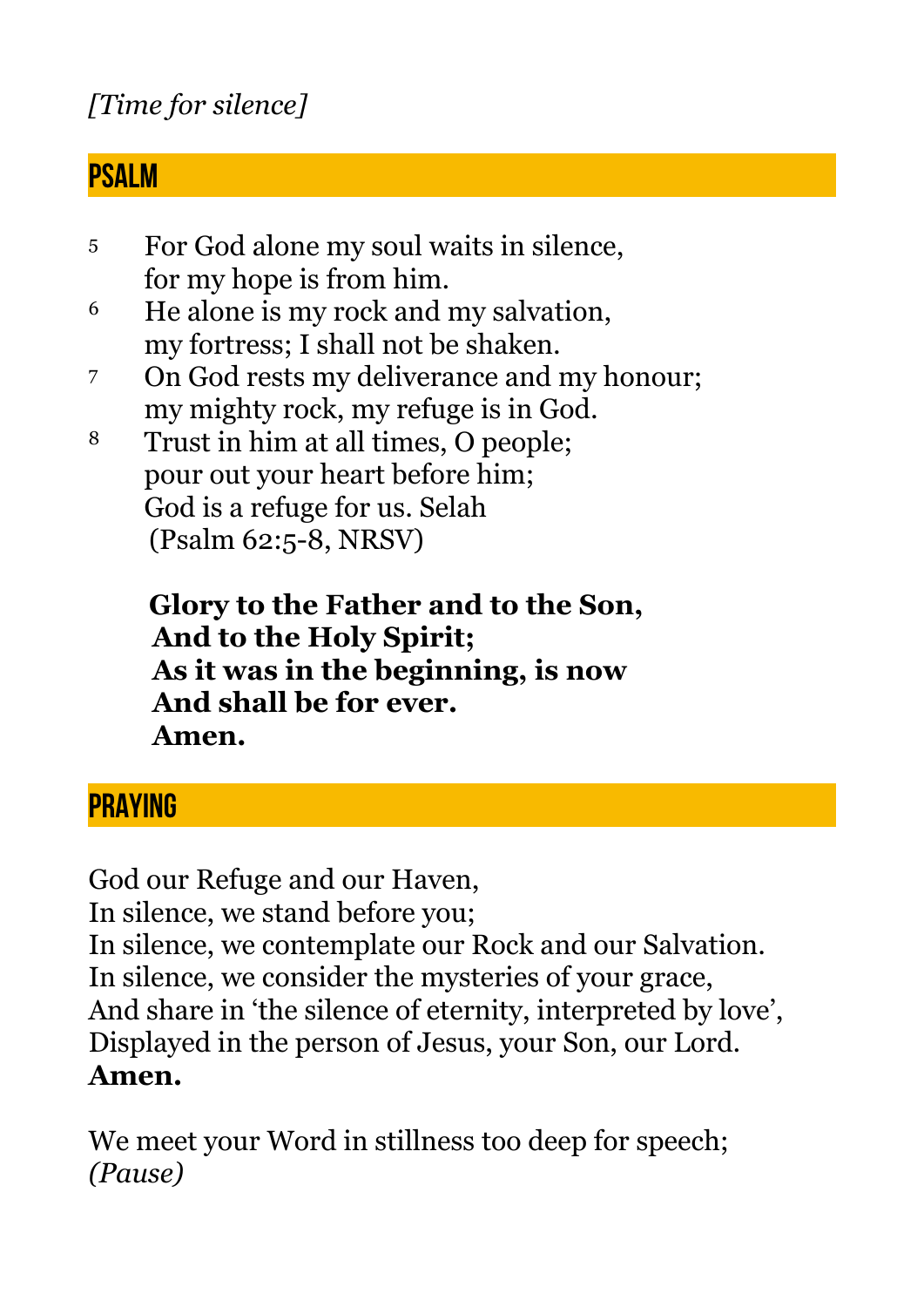## *[Time for silence]*

#### **PSALM**

- 5 For God alone my soul waits in silence, for my hope is from him.
- 6 He alone is my rock and my salvation, my fortress; I shall not be shaken.
- 7 On God rests my deliverance and my honour; my mighty rock, my refuge is in God.
- 8 Trust in him at all times, O people; pour out your heart before him; God is a refuge for us. Selah (Psalm 62:5-8, NRSV)

 **Glory to the Father and to the Son, And to the Holy Spirit; As it was in the beginning, is now And shall be for ever. Amen.** 

## **PRAYING**

God our Refuge and our Haven, In silence, we stand before you; In silence, we contemplate our Rock and our Salvation. In silence, we consider the mysteries of your grace, And share in 'the silence of eternity, interpreted by love', Displayed in the person of Jesus, your Son, our Lord. **Amen.** 

We meet your Word in stillness too deep for speech; *(Pause)*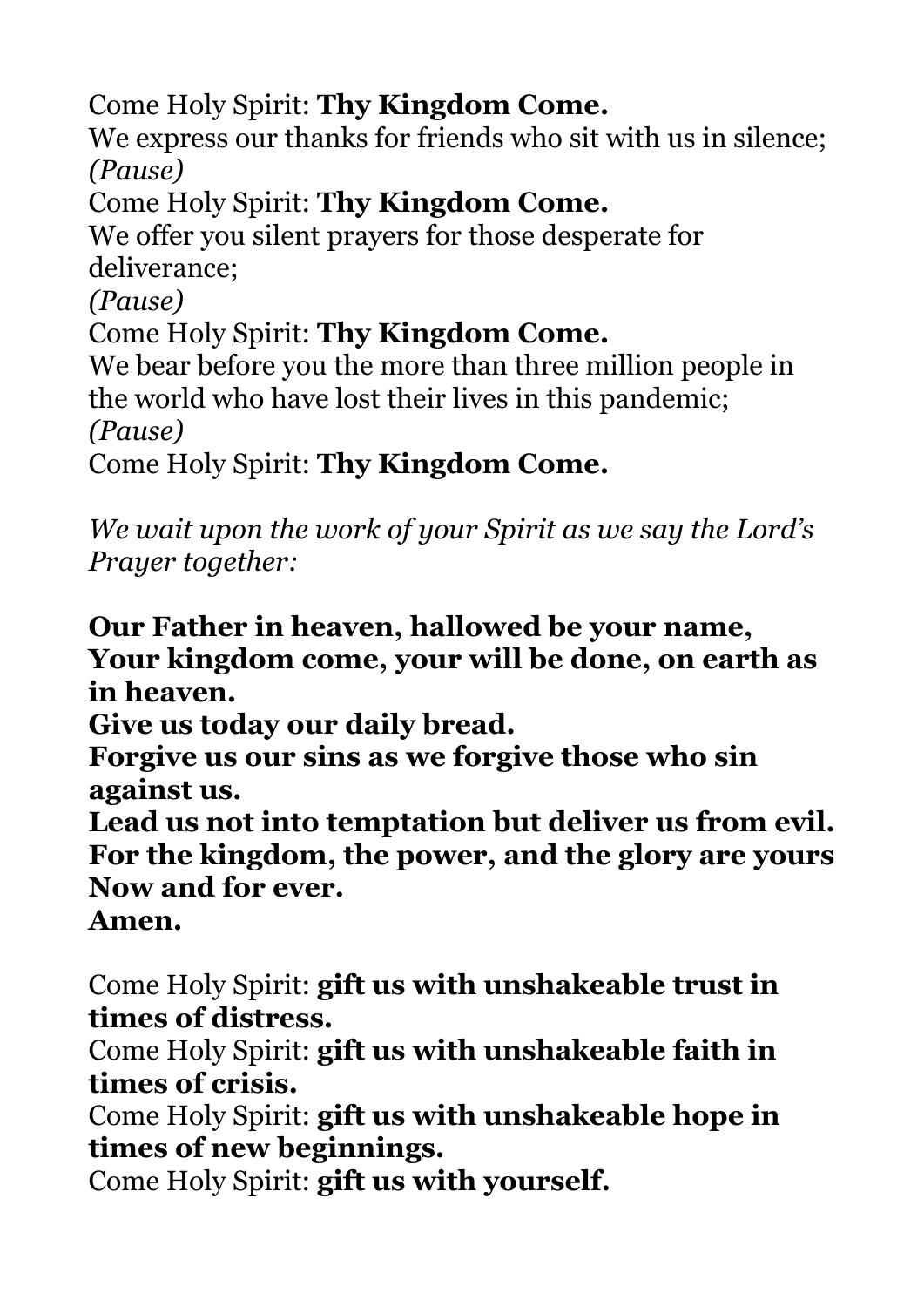Come Holy Spirit: **Thy Kingdom Come.**

We express our thanks for friends who sit with us in silence; *(Pause)* 

Come Holy Spirit: **Thy Kingdom Come.**

We offer you silent prayers for those desperate for deliverance;

*(Pause)* 

Come Holy Spirit: **Thy Kingdom Come.**

We bear before you the more than three million people in the world who have lost their lives in this pandemic; *(Pause)* 

Come Holy Spirit: **Thy Kingdom Come.**

*We wait upon the work of your Spirit as we say the Lord's Prayer together:* 

**Our Father in heaven, hallowed be your name, Your kingdom come, your will be done, on earth as in heaven.** 

**Give us today our daily bread.** 

**Forgive us our sins as we forgive those who sin against us.** 

**Lead us not into temptation but deliver us from evil. For the kingdom, the power, and the glory are yours Now and for ever.** 

**Amen.** 

Come Holy Spirit: **gift us with unshakeable trust in times of distress.**

Come Holy Spirit: **gift us with unshakeable faith in times of crisis.** 

Come Holy Spirit: **gift us with unshakeable hope in times of new beginnings.**

Come Holy Spirit: **gift us with yourself.**